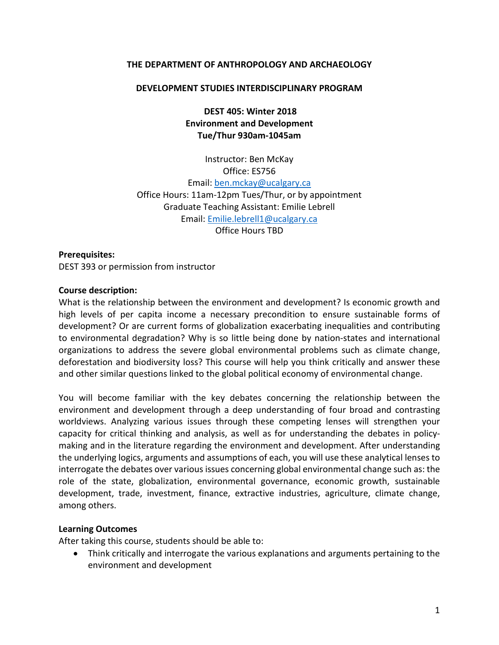#### **THE DEPARTMENT OF ANTHROPOLOGY AND ARCHAEOLOGY**

#### **DEVELOPMENT STUDIES INTERDISCIPLINARY PROGRAM**

**DEST 405: Winter 2018 Environment and Development Tue/Thur 930am-1045am**

Instructor: Ben McKay Office: ES756 Email: [ben.mckay@ucalgary.ca](mailto:ben.mckay@ucalgary.ca) Office Hours: 11am-12pm Tues/Thur, or by appointment Graduate Teaching Assistant: Emilie Lebrell Email: [Emilie.lebrell1@ucalgary.ca](mailto:Emilie.lebrell1@ucalgary.ca) Office Hours TBD

**Prerequisites:** DEST 393 or permission from instructor

#### **Course description:**

What is the relationship between the environment and development? Is economic growth and high levels of per capita income a necessary precondition to ensure sustainable forms of development? Or are current forms of globalization exacerbating inequalities and contributing to environmental degradation? Why is so little being done by nation-states and international organizations to address the severe global environmental problems such as climate change, deforestation and biodiversity loss? This course will help you think critically and answer these and other similar questions linked to the global political economy of environmental change.

You will become familiar with the key debates concerning the relationship between the environment and development through a deep understanding of four broad and contrasting worldviews. Analyzing various issues through these competing lenses will strengthen your capacity for critical thinking and analysis, as well as for understanding the debates in policymaking and in the literature regarding the environment and development. After understanding the underlying logics, arguments and assumptions of each, you will use these analytical lenses to interrogate the debates over various issues concerning global environmental change such as: the role of the state, globalization, environmental governance, economic growth, sustainable development, trade, investment, finance, extractive industries, agriculture, climate change, among others.

#### **Learning Outcomes**

After taking this course, students should be able to:

• Think critically and interrogate the various explanations and arguments pertaining to the environment and development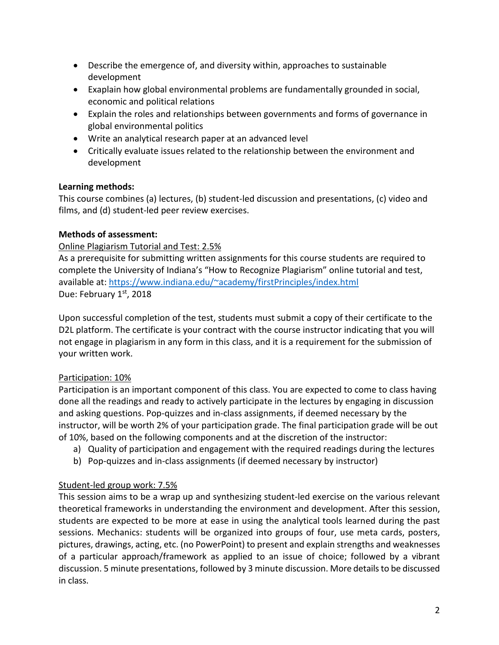- Describe the emergence of, and diversity within, approaches to sustainable development
- Exaplain how global environmental problems are fundamentally grounded in social, economic and political relations
- Explain the roles and relationships between governments and forms of governance in global environmental politics
- Write an analytical research paper at an advanced level
- Critically evaluate issues related to the relationship between the environment and development

# **Learning methods:**

This course combines (a) lectures, (b) student-led discussion and presentations, (c) video and films, and (d) student-led peer review exercises.

# **Methods of assessment:**

## Online Plagiarism Tutorial and Test: 2.5%

As a prerequisite for submitting written assignments for this course students are required to complete the University of Indiana's "How to Recognize Plagiarism" online tutorial and test, available at[: https://www.indiana.edu/~academy/firstPrinciples/index.html](https://www.indiana.edu/%7Eacademy/firstPrinciples/index.html) Due: February 1st, 2018

Upon successful completion of the test, students must submit a copy of their certificate to the D2L platform. The certificate is your contract with the course instructor indicating that you will not engage in plagiarism in any form in this class, and it is a requirement for the submission of your written work.

# Participation: 10%

Participation is an important component of this class. You are expected to come to class having done all the readings and ready to actively participate in the lectures by engaging in discussion and asking questions. Pop-quizzes and in-class assignments, if deemed necessary by the instructor, will be worth 2% of your participation grade. The final participation grade will be out of 10%, based on the following components and at the discretion of the instructor:

- a) Quality of participation and engagement with the required readings during the lectures
- b) Pop-quizzes and in-class assignments (if deemed necessary by instructor)

# Student-led group work: 7.5%

This session aims to be a wrap up and synthesizing student-led exercise on the various relevant theoretical frameworks in understanding the environment and development. After this session, students are expected to be more at ease in using the analytical tools learned during the past sessions. Mechanics: students will be organized into groups of four, use meta cards, posters, pictures, drawings, acting, etc. (no PowerPoint) to present and explain strengths and weaknesses of a particular approach/framework as applied to an issue of choice; followed by a vibrant discussion. 5 minute presentations, followed by 3 minute discussion. More details to be discussed in class.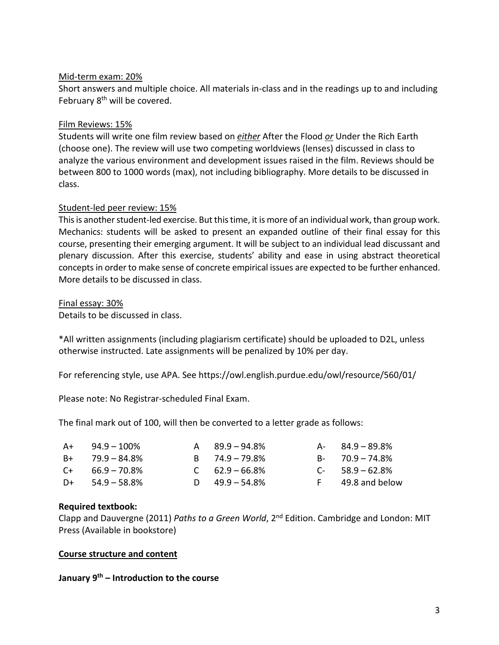### Mid-term exam: 20%

Short answers and multiple choice. All materials in-class and in the readings up to and including February 8<sup>th</sup> will be covered.

### Film Reviews: 15%

Students will write one film review based on *either* After the Flood *or* Under the Rich Earth (choose one). The review will use two competing worldviews (lenses) discussed in class to analyze the various environment and development issues raised in the film. Reviews should be between 800 to 1000 words (max), not including bibliography. More details to be discussed in class.

### Student-led peer review: 15%

This is another student-led exercise. But this time, it is more of an individual work, than group work. Mechanics: students will be asked to present an expanded outline of their final essay for this course, presenting their emerging argument. It will be subject to an individual lead discussant and plenary discussion. After this exercise, students' ability and ease in using abstract theoretical concepts in order to make sense of concrete empirical issues are expected to be further enhanced. More details to be discussed in class.

#### Final essay: 30%

Details to be discussed in class.

\*All written assignments (including plagiarism certificate) should be uploaded to D2L, unless otherwise instructed. Late assignments will be penalized by 10% per day.

For referencing style, use APA. See https://owl.english.purdue.edu/owl/resource/560/01/

Please note: No Registrar-scheduled Final Exam.

The final mark out of 100, will then be converted to a letter grade as follows:

| $A+$ 94.9 – 100%     | $A = 89.9 - 94.8\%$ | $A - 84.9 - 89.8\%$ |
|----------------------|---------------------|---------------------|
| $B_{+}$ 79.9 – 84.8% | $B = 74.9 - 79.8\%$ | $B - 70.9 - 74.8\%$ |
| $C_{+}$ 66.9 – 70.8% | $C = 62.9 - 66.8\%$ | $C - 58.9 - 62.8\%$ |
| $D+$ 54.9 – 58.8%    | D $49.9 - 54.8\%$   | F 49.8 and below    |

#### **Required textbook:**

Clapp and Dauvergne (2011) *Paths to a Green World*, 2<sup>nd</sup> Edition. Cambridge and London: MIT Press (Available in bookstore)

#### **Course structure and content**

**January 9th – Introduction to the course**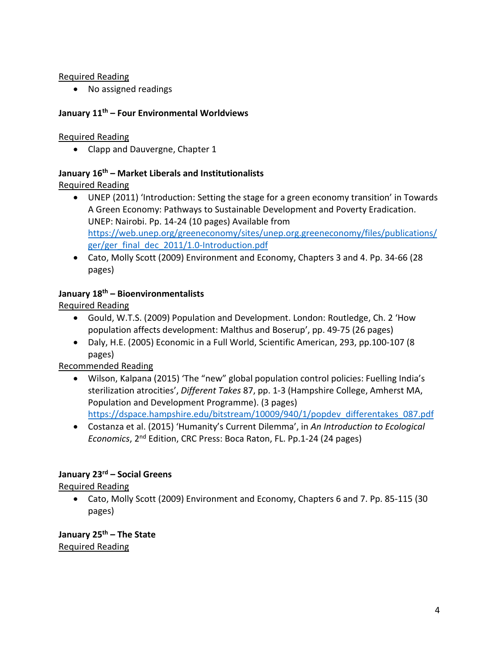### Required Reading

• No assigned readings

## **January 11th – Four Environmental Worldviews**

## Required Reading

• Clapp and Dauvergne, Chapter 1

## **January 16th – Market Liberals and Institutionalists**

# Required Reading

- UNEP (2011) 'Introduction: Setting the stage for a green economy transition' in Towards A Green Economy: Pathways to Sustainable Development and Poverty Eradication. UNEP: Nairobi. Pp. 14-24 (10 pages) Available from [https://web.unep.org/greeneconomy/sites/unep.org.greeneconomy/files/publications/](https://web.unep.org/greeneconomy/sites/unep.org.greeneconomy/files/publications/ger/ger_final_dec_2011/1.0-Introduction.pdf) [ger/ger\\_final\\_dec\\_2011/1.0-Introduction.pdf](https://web.unep.org/greeneconomy/sites/unep.org.greeneconomy/files/publications/ger/ger_final_dec_2011/1.0-Introduction.pdf)
- Cato, Molly Scott (2009) Environment and Economy, Chapters 3 and 4. Pp. 34-66 (28 pages)

# **January 18th – Bioenvironmentalists**

Required Reading

- Gould, W.T.S. (2009) Population and Development. London: Routledge, Ch. 2 'How population affects development: Malthus and Boserup', pp. 49-75 (26 pages)
- Daly, H.E. (2005) Economic in a Full World, Scientific American, 293, pp.100-107 (8 pages)

Recommended Reading

• Wilson, Kalpana (2015) 'The "new" global population control policies: Fuelling India's sterilization atrocities', *Different Takes* 87, pp. 1-3 (Hampshire College, Amherst MA, Population and Development Programme). (3 pages)

[https://dspace.hampshire.edu/bitstream/10009/940/1/popdev\\_differentakes\\_087.pdf](https://dspace.hampshire.edu/bitstream/10009/940/1/popdev_differentakes_087.pdf)

• Costanza et al. (2015) 'Humanity's Current Dilemma', in *An Introduction to Ecological Economics*, 2nd Edition, CRC Press: Boca Raton, FL. Pp.1-24 (24 pages)

# **January 23rd – Social Greens**

Required Reading

• Cato, Molly Scott (2009) Environment and Economy, Chapters 6 and 7. Pp. 85-115 (30 pages)

**January 25th – The State** Required Reading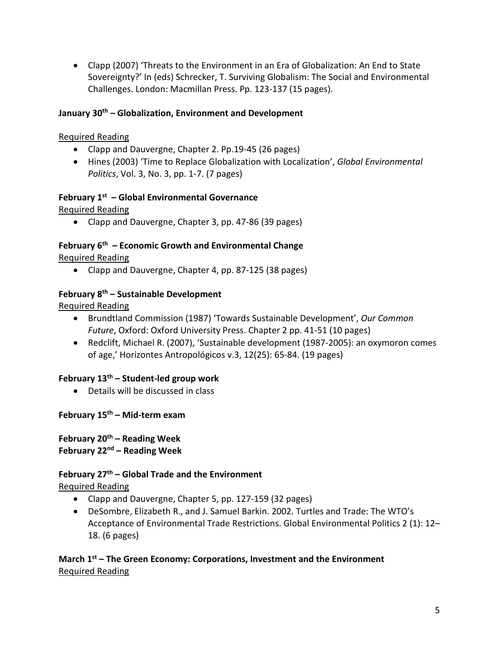• Clapp (2007) 'Threats to the Environment in an Era of Globalization: An End to State Sovereignty?' In (eds) Schrecker, T. Surviving Globalism: The Social and Environmental Challenges. London: Macmillan Press. Pp. 123-137 (15 pages).

### **January 30th – Globalization, Environment and Development**

## Required Reading

- Clapp and Dauvergne, Chapter 2. Pp.19-45 (26 pages)
- Hines (2003) 'Time to Replace Globalization with Localization', *Global Environmental Politics*, Vol. 3, No. 3, pp. 1-7. (7 pages)

# **February 1st – Global Environmental Governance**

Required Reading

• Clapp and Dauvergne, Chapter 3, pp. 47-86 (39 pages)

### **February 6th – Economic Growth and Environmental Change** Required Reading

• Clapp and Dauvergne, Chapter 4, pp. 87-125 (38 pages)

## **February 8th – Sustainable Development**

Required Reading

- Brundtland Commission (1987) 'Towards Sustainable Development', *Our Common Future*, Oxford: Oxford University Press. Chapter 2 pp. 41-51 (10 pages)
- Redclift, Michael R. (2007), 'Sustainable development (1987-2005): an oxymoron comes of age,' Horizontes Antropológicos v.3, 12(25): 65-84. (19 pages)

### **February 13th – Student-led group work**

• Details will be discussed in class

### **February 15th – Mid-term exam**

**February 20th – Reading Week February 22nd – Reading Week**

# **February 27th – Global Trade and the Environment**

Required Reading

- Clapp and Dauvergne, Chapter 5, pp. 127-159 (32 pages)
- DeSombre, Elizabeth R., and J. Samuel Barkin. 2002. Turtles and Trade: The WTO's Acceptance of Environmental Trade Restrictions. Global Environmental Politics 2 (1): 12– 18. (6 pages)

**March 1st – The Green Economy: Corporations, Investment and the Environment** Required Reading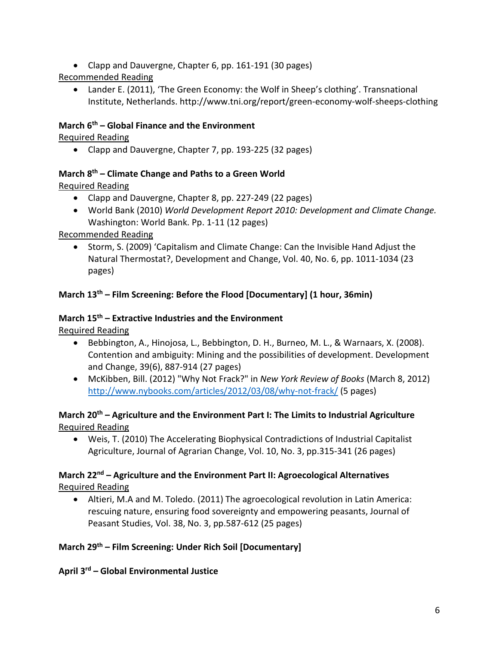• Clapp and Dauvergne, Chapter 6, pp. 161-191 (30 pages)

# Recommended Reading

• Lander E. (2011), 'The Green Economy: the Wolf in Sheep's clothing'. Transnational Institute, Netherlands. http://www.tni.org/report/green-economy-wolf-sheeps-clothing

## **March 6th – Global Finance and the Environment**

## Required Reading

• Clapp and Dauvergne, Chapter 7, pp. 193-225 (32 pages)

# **March 8th – Climate Change and Paths to a Green World**

# Required Reading

- Clapp and Dauvergne, Chapter 8, pp. 227-249 (22 pages)
- World Bank (2010) *World Development Report 2010: Development and Climate Change.* Washington: World Bank. Pp. 1-11 (12 pages)

# Recommended Reading

• Storm, S. (2009) 'Capitalism and Climate Change: Can the Invisible Hand Adjust the Natural Thermostat?, Development and Change, Vol. 40, No. 6, pp. 1011-1034 (23 pages)

# **March 13th – Film Screening: Before the Flood [Documentary] (1 hour, 36min)**

## **March 15th – Extractive Industries and the Environment**

Required Reading

- Bebbington, A., Hinojosa, L., Bebbington, D. H., Burneo, M. L., & Warnaars, X. (2008). Contention and ambiguity: Mining and the possibilities of development. Development and Change, 39(6), 887-914 (27 pages)
- McKibben, Bill. (2012) "Why Not Frack?" in *New York Review of Books* (March 8, 2012) <http://www.nybooks.com/articles/2012/03/08/why-not-frack/> (5 pages)

# **March 20th – Agriculture and the Environment Part I: The Limits to Industrial Agriculture** Required Reading

• Weis, T. (2010) The Accelerating Biophysical Contradictions of Industrial Capitalist Agriculture, Journal of Agrarian Change, Vol. 10, No. 3, pp.315-341 (26 pages)

## **March 22nd – Agriculture and the Environment Part II: Agroecological Alternatives** Required Reading

• Altieri, M.A and M. Toledo. (2011) The agroecological revolution in Latin America: rescuing nature, ensuring food sovereignty and empowering peasants, Journal of Peasant Studies, Vol. 38, No. 3, pp.587-612 (25 pages)

# **March 29th – Film Screening: Under Rich Soil [Documentary]**

**April 3rd – Global Environmental Justice**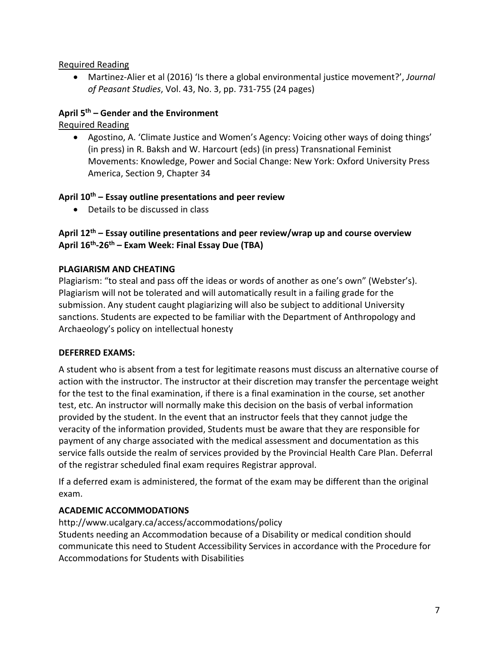### Required Reading

• Martinez-Alier et al (2016) 'Is there a global environmental justice movement?', *Journal of Peasant Studies*, Vol. 43, No. 3, pp. 731-755 (24 pages)

## **April 5th – Gender and the Environment**

Required Reading

• Agostino, A. 'Climate Justice and Women's Agency: Voicing other ways of doing things' (in press) in R. Baksh and W. Harcourt (eds) (in press) Transnational Feminist Movements: Knowledge, Power and Social Change: New York: Oxford University Press America, Section 9, Chapter 34

## **April 10th – Essay outline presentations and peer review**

• Details to be discussed in class

# **April 12th – Essay outiline presentations and peer review/wrap up and course overview April 16th-26th – Exam Week: Final Essay Due (TBA)**

## **PLAGIARISM AND CHEATING**

Plagiarism: "to steal and pass off the ideas or words of another as one's own" (Webster's). Plagiarism will not be tolerated and will automatically result in a failing grade for the submission. Any student caught plagiarizing will also be subject to additional University sanctions. Students are expected to be familiar with the Department of Anthropology and Archaeology's policy on intellectual honesty

### **DEFERRED EXAMS:**

A student who is absent from a test for legitimate reasons must discuss an alternative course of action with the instructor. The instructor at their discretion may transfer the percentage weight for the test to the final examination, if there is a final examination in the course, set another test, etc. An instructor will normally make this decision on the basis of verbal information provided by the student. In the event that an instructor feels that they cannot judge the veracity of the information provided, Students must be aware that they are responsible for payment of any charge associated with the medical assessment and documentation as this service falls outside the realm of services provided by the Provincial Health Care Plan. Deferral of the registrar scheduled final exam requires Registrar approval.

If a deferred exam is administered, the format of the exam may be different than the original exam.

# **ACADEMIC ACCOMMODATIONS**

http://www.ucalgary.ca/access/accommodations/policy Students needing an Accommodation because of a Disability or medical condition should communicate this need to Student Accessibility Services in accordance with the Procedure for Accommodations for Students with Disabilities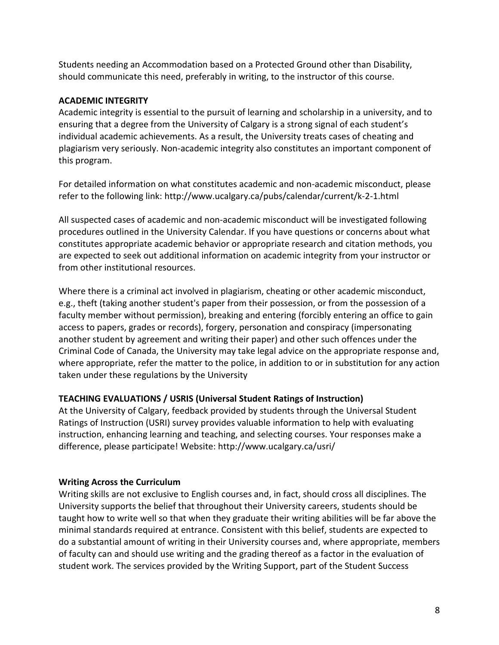Students needing an Accommodation based on a Protected Ground other than Disability, should communicate this need, preferably in writing, to the instructor of this course.

### **ACADEMIC INTEGRITY**

Academic integrity is essential to the pursuit of learning and scholarship in a university, and to ensuring that a degree from the University of Calgary is a strong signal of each student's individual academic achievements. As a result, the University treats cases of cheating and plagiarism very seriously. Non-academic integrity also constitutes an important component of this program.

For detailed information on what constitutes academic and non-academic misconduct, please refer to the following link: http://www.ucalgary.ca/pubs/calendar/current/k-2-1.html

All suspected cases of academic and non-academic misconduct will be investigated following procedures outlined in the University Calendar. If you have questions or concerns about what constitutes appropriate academic behavior or appropriate research and citation methods, you are expected to seek out additional information on academic integrity from your instructor or from other institutional resources.

Where there is a criminal act involved in plagiarism, cheating or other academic misconduct, e.g., theft (taking another student's paper from their possession, or from the possession of a faculty member without permission), breaking and entering (forcibly entering an office to gain access to papers, grades or records), forgery, personation and conspiracy (impersonating another student by agreement and writing their paper) and other such offences under the Criminal Code of Canada, the University may take legal advice on the appropriate response and, where appropriate, refer the matter to the police, in addition to or in substitution for any action taken under these regulations by the University

### **TEACHING EVALUATIONS / USRIS (Universal Student Ratings of Instruction)**

At the University of Calgary, feedback provided by students through the Universal Student Ratings of Instruction (USRI) survey provides valuable information to help with evaluating instruction, enhancing learning and teaching, and selecting courses. Your responses make a difference, please participate! Website: http://www.ucalgary.ca/usri/

#### **Writing Across the Curriculum**

Writing skills are not exclusive to English courses and, in fact, should cross all disciplines. The University supports the belief that throughout their University careers, students should be taught how to write well so that when they graduate their writing abilities will be far above the minimal standards required at entrance. Consistent with this belief, students are expected to do a substantial amount of writing in their University courses and, where appropriate, members of faculty can and should use writing and the grading thereof as a factor in the evaluation of student work. The services provided by the Writing Support, part of the Student Success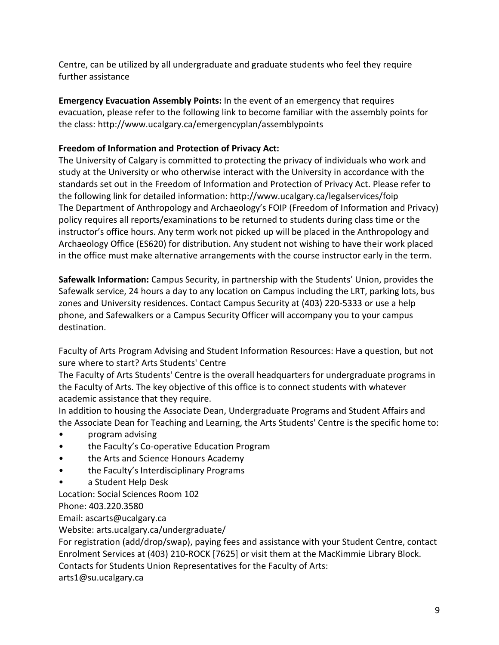Centre, can be utilized by all undergraduate and graduate students who feel they require further assistance

**Emergency Evacuation Assembly Points:** In the event of an emergency that requires evacuation, please refer to the following link to become familiar with the assembly points for the class: http://www.ucalgary.ca/emergencyplan/assemblypoints

# **Freedom of Information and Protection of Privacy Act:**

The University of Calgary is committed to protecting the privacy of individuals who work and study at the University or who otherwise interact with the University in accordance with the standards set out in the Freedom of Information and Protection of Privacy Act. Please refer to the following link for detailed information: http://www.ucalgary.ca/legalservices/foip The Department of Anthropology and Archaeology's FOIP (Freedom of Information and Privacy) policy requires all reports/examinations to be returned to students during class time or the instructor's office hours. Any term work not picked up will be placed in the Anthropology and Archaeology Office (ES620) for distribution. Any student not wishing to have their work placed in the office must make alternative arrangements with the course instructor early in the term.

**Safewalk Information:** Campus Security, in partnership with the Students' Union, provides the Safewalk service, 24 hours a day to any location on Campus including the LRT, parking lots, bus zones and University residences. Contact Campus Security at (403) 220-5333 or use a help phone, and Safewalkers or a Campus Security Officer will accompany you to your campus destination.

Faculty of Arts Program Advising and Student Information Resources: Have a question, but not sure where to start? Arts Students' Centre

The Faculty of Arts Students' Centre is the overall headquarters for undergraduate programs in the Faculty of Arts. The key objective of this office is to connect students with whatever academic assistance that they require.

In addition to housing the Associate Dean, Undergraduate Programs and Student Affairs and the Associate Dean for Teaching and Learning, the Arts Students' Centre is the specific home to:

- program advising
- the Faculty's Co-operative Education Program
- the Arts and Science Honours Academy
- the Faculty's Interdisciplinary Programs
- a Student Help Desk

Location: Social Sciences Room 102

Phone: 403.220.3580

Email: ascarts@ucalgary.ca

Website: arts.ucalgary.ca/undergraduate/

For registration (add/drop/swap), paying fees and assistance with your Student Centre, contact Enrolment Services at (403) 210-ROCK [7625] or visit them at the MacKimmie Library Block. Contacts for Students Union Representatives for the Faculty of Arts: arts1@su.ucalgary.ca